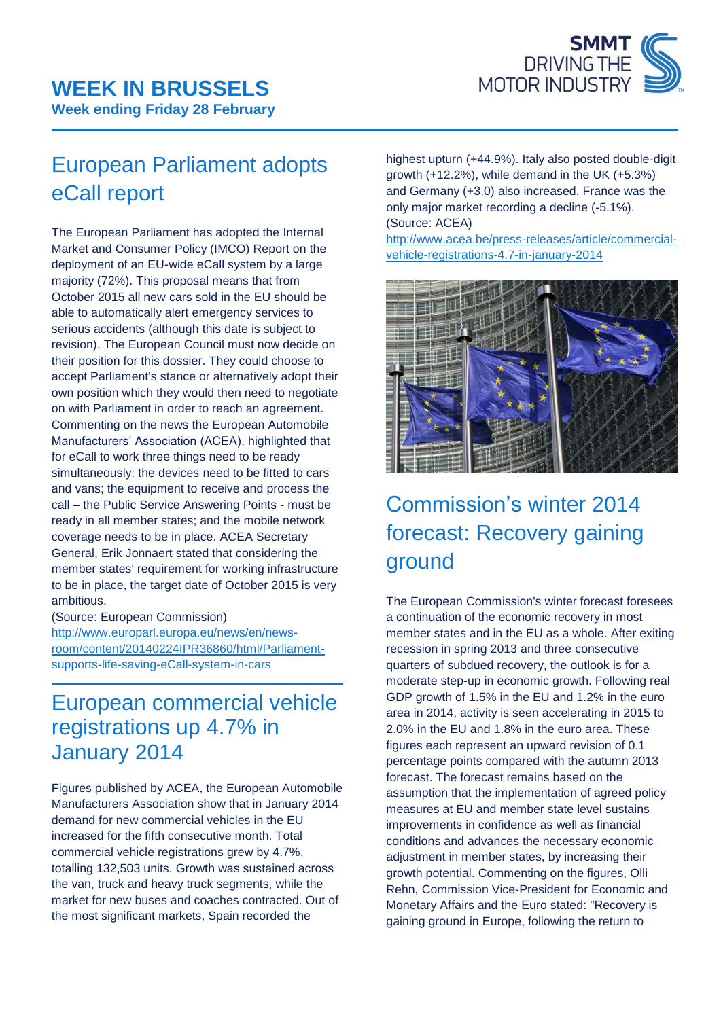

# European Parliament adopts eCall report

The European Parliament has adopted the Internal Market and Consumer Policy (IMCO) Report on the deployment of an EU-wide eCall system by a large majority (72%). This proposal means that from October 2015 all new cars sold in the EU should be able to automatically alert emergency services to serious accidents (although this date is subject to revision). The European Council must now decide on their position for this dossier. They could choose to accept Parliament's stance or alternatively adopt their own position which they would then need to negotiate on with Parliament in order to reach an agreement. Commenting on the news the European Automobile Manufacturers' Association (ACEA), highlighted that for eCall to work three things need to be ready simultaneously: the devices need to be fitted to cars and vans; the equipment to receive and process the call – the Public Service Answering Points - must be ready in all member states; and the mobile network coverage needs to be in place. ACEA Secretary General, Erik Jonnaert stated that considering the member states' requirement for working infrastructure to be in place, the target date of October 2015 is very ambitious.

(Source: European Commission) [http://www.europarl.europa.eu/news/en/news](http://www.europarl.europa.eu/news/en/news-room/content/20140224IPR36860/html/Parliament-supports-life-saving-eCall-system-in-cars)[room/content/20140224IPR36860/html/Parliament](http://www.europarl.europa.eu/news/en/news-room/content/20140224IPR36860/html/Parliament-supports-life-saving-eCall-system-in-cars)[supports-life-saving-eCall-system-in-cars](http://www.europarl.europa.eu/news/en/news-room/content/20140224IPR36860/html/Parliament-supports-life-saving-eCall-system-in-cars)

#### European commercial vehicle registrations up 4.7% in January 2014

Figures published by ACEA, the European Automobile Manufacturers Association show that in January 2014 demand for new commercial vehicles in the EU increased for the fifth consecutive month. Total commercial vehicle registrations grew by 4.7%, totalling 132,503 units. Growth was sustained across the van, truck and heavy truck segments, while the market for new buses and coaches contracted. Out of the most significant markets, Spain recorded the

highest upturn (+44.9%). Italy also posted double-digit growth (+12.2%), while demand in the UK (+5.3%) and Germany (+3.0) also increased. France was the only major market recording a decline (-5.1%). (Source: ACEA)

[http://www.acea.be/press-releases/article/commercial](http://www.acea.be/press-releases/article/commercial-vehicle-registrations-4.7-in-january-2014)[vehicle-registrations-4.7-in-january-2014](http://www.acea.be/press-releases/article/commercial-vehicle-registrations-4.7-in-january-2014)



# Commission's winter 2014 forecast: Recovery gaining ground

The European Commission's winter forecast foresees a continuation of the economic recovery in most member states and in the EU as a whole. After exiting recession in spring 2013 and three consecutive quarters of subdued recovery, the outlook is for a moderate step-up in economic growth. Following real GDP growth of 1.5% in the EU and 1.2% in the euro area in 2014, activity is seen accelerating in 2015 to 2.0% in the EU and 1.8% in the euro area. These figures each represent an upward revision of 0.1 percentage points compared with the autumn 2013 forecast. The forecast remains based on the assumption that the implementation of agreed policy measures at EU and member state level sustains improvements in confidence as well as financial conditions and advances the necessary economic adiustment in member states, by increasing their growth potential. Commenting on the figures, Olli Rehn, Commission Vice-President for Economic and Monetary Affairs and the Euro stated: "Recovery is gaining ground in Europe, following the return to